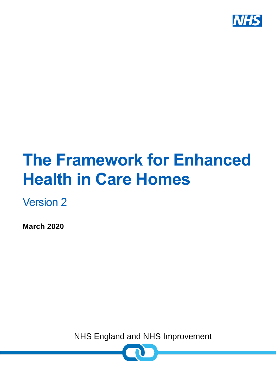

# **The Framework for Enhanced Health in Care Homes**

Version 2

**March 2020**

NHS England and NHS Improvement

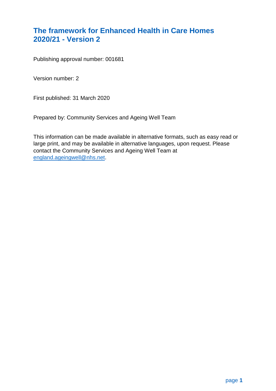# <span id="page-1-0"></span>**The framework for Enhanced Health in Care Homes 2020/21 - Version 2**

Publishing approval number: 001681

Version number: 2

First published: 31 March 2020

Prepared by: Community Services and Ageing Well Team

This information can be made available in alternative formats, such as easy read or large print, and may be available in alternative languages, upon request. Please contact the Community Services and Ageing Well Team at [england.ageingwell@nhs.net.](mailto:england.ageingwell@nhs.net)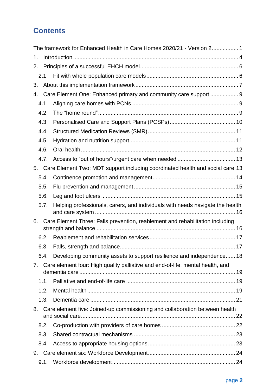# **Contents**

|      | The framework for Enhanced Health in Care Homes 2020/21 - Version 2 1          |  |
|------|--------------------------------------------------------------------------------|--|
| 1.   |                                                                                |  |
| 2.   |                                                                                |  |
| 2.1  |                                                                                |  |
| 3.   |                                                                                |  |
| 4.   | Care Element One: Enhanced primary and community care support  9               |  |
| 4.1  |                                                                                |  |
| 4.2  |                                                                                |  |
| 4.3  |                                                                                |  |
| 4.4  |                                                                                |  |
| 4.5  |                                                                                |  |
| 4.6. |                                                                                |  |
| 4.7. |                                                                                |  |
| 5.   | Care Element Two: MDT support including coordinated health and social care 13  |  |
| 5.4. |                                                                                |  |
| 5.5. |                                                                                |  |
| 5.6. |                                                                                |  |
| 5.7. | Helping professionals, carers, and individuals with needs navigate the health  |  |
| 6.   | Care Element Three: Falls prevention, reablement and rehabilitation including  |  |
| 6.2. |                                                                                |  |
| 6.3. |                                                                                |  |
|      | 6.4. Developing community assets to support resilience and independence 18     |  |
| 7.   | Care element four: High quality palliative and end-of-life, mental health, and |  |
|      |                                                                                |  |
| 1.1. |                                                                                |  |
| 1.2. |                                                                                |  |
| 1.3. |                                                                                |  |
| 8.   | Care element five: Joined-up commissioning and collaboration between health    |  |
| 8.2. |                                                                                |  |
| 8.3. |                                                                                |  |
| 8.4. |                                                                                |  |
| 9.   |                                                                                |  |
| 9.1. |                                                                                |  |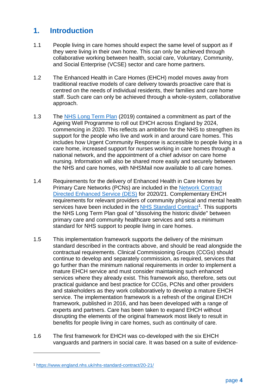# <span id="page-4-0"></span>**1. Introduction**

- 1.1 People living in care homes should expect the same level of support as if they were living in their own home. This can only be achieved through collaborative working between health, social care, Voluntary, Community, and Social Enterprise (VCSE) sector and care home partners.
- 1.2 The Enhanced Health in Care Homes (EHCH) model moves away from traditional reactive models of care delivery towards proactive care that is centred on the needs of individual residents, their families and care home staff. Such care can only be achieved through a whole-system, collaborative approach.
- 1.3 The [NHS Long Term Plan](https://www.longtermplan.nhs.uk/) (2019) contained a commitment as part of the Ageing Well Programme to roll out EHCH across England by 2024, commencing in 2020. This reflects an ambition for the NHS to strengthen its support for the people who live and work in and around care homes. This includes how Urgent Community Response is accessible to people living in a care home, increased support for nurses working in care homes through a national network, and the appointment of a chief advisor on care home nursing. Information will also be shared more easily and securely between the NHS and care homes, with NHSMail now available to all care homes.
- 1.4 Requirements for the delivery of Enhanced Health in Care Homes by Primary Care Networks (PCNs) are included in the [Network Contract](https://www.england.nhs.uk/publication/des-contract-specification-2020-21-pcn-entitlements-and-requirements/)  [Directed Enhanced Service \(DES\)](https://www.england.nhs.uk/publication/des-contract-specification-2020-21-pcn-entitlements-and-requirements/) for 2020/21. Complementary EHCH requirements for relevant providers of community physical and mental health services have been included in the **NHS Standard Contract<sup>1</sup>. This supports** the NHS Long Term Plan goal of "dissolving the historic divide" between primary care and community healthcare services and sets a minimum standard for NHS support to people living in care homes.
- 1.5 This implementation framework supports the delivery of the minimum standard described in the contracts above, and should be read alongside the contractual requirements. Clinical Commissioning Groups (CCGs) should continue to develop and separately commission, as required, services that go further than the minimum national requirements in order to implement a mature EHCH service and must consider maintaining such enhanced services where they already exist. This framework also, therefore, sets out practical guidance and best practice for CCGs, PCNs and other providers and stakeholders as they work collaboratively to develop a mature EHCH service. The implementation framework is a refresh of the original EHCH framework, published in 2016, and has been developed with a range of experts and partners. Care has been taken to expand EHCH without disrupting the elements of the original framework most likely to result in benefits for people living in care homes, such as continuity of care.
- 1.6 The first framework for EHCH was co-developed with the six EHCH vanguards and partners in social care. It was based on a suite of evidence-

1

<sup>1</sup> <https://www.england.nhs.uk/nhs-standard-contract/20-21/>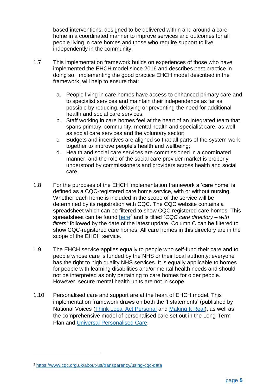based interventions, designed to be delivered within and around a care home in a coordinated manner to improve services and outcomes for all people living in care homes and those who require support to live independently in the community.

- 1.7 This implementation framework builds on experiences of those who have implemented the EHCH model since 2016 and describes best practice in doing so. Implementing the good practice EHCH model described in the framework, will help to ensure that:
	- a. People living in care homes have access to enhanced primary care and to specialist services and maintain their independence as far as possible by reducing, delaying or preventing the need for additional health and social care services;
	- b. Staff working in care homes feel at the heart of an integrated team that spans primary, community, mental health and specialist care, as well as social care services and the voluntary sector;
	- c. Budgets and incentives are aligned so that all parts of the system work together to improve people's health and wellbeing;
	- d. Health and social care services are commissioned in a coordinated manner, and the role of the social care provider market is properly understood by commissioners and providers across health and social care.
- 1.8 For the purposes of the EHCH implementation framework a 'care home' is defined as a CQC-registered care home service, with or without nursing. Whether each home is included in the scope of the service will be determined by its registration with CQC. The CQC website contains a spreadsheet which can be filtered to show CQC registered care homes. This spreadsheet can be found [here](https://www.cqc.org.uk/about-us/transparency/using-cqc-data)<sup>2</sup> and is titled "*CQC care directory – with filters*" followed by the date of the latest update. Column C can be filtered to show CQC-registered care homes. All care homes in this directory are in the scope of the EHCH service.
- 1.9 The EHCH service applies equally to people who self-fund their care and to people whose care is funded by the NHS or their local authority: everyone has the right to high quality NHS services. It is equally applicable to homes for people with learning disabilities and/or mental health needs and should not be interpreted as only pertaining to care homes for older people. However, secure mental health units are not in scope.
- 1.10 Personalised care and support are at the heart of EHCH model. This implementation framework draws on both the 'I statements' (published by National Voices [\(Think Local Act Personal](https://www.nationalvoices.org.uk/publications/our-publications/narrative-person-centred-coordinated-care) and [Making It Real\)](https://www.thinklocalactpersonal.org.uk/makingitreal/), as well as the comprehensive model of personalised care set out in the Long-Term Plan and [Universal Personalised Care.](https://www.england.nhs.uk/publication/universal-personalised-care-implementing-the-comprehensive-model/)

1

<sup>2</sup> <https://www.cqc.org.uk/about-us/transparency/using-cqc-data>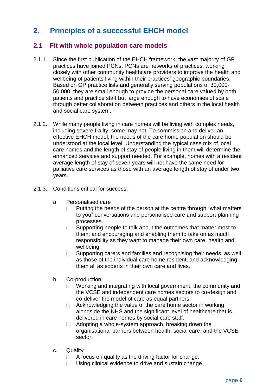# <span id="page-6-0"></span>**2. Principles of a successful EHCH model**

## <span id="page-6-1"></span>**2.1 Fit with whole population care models**

- 2.1.1. Since the first publication of the EHCH framework, the vast majority of GP practices have joined PCNs. PCNs are networks of practices, working closely with other community healthcare providers to improve the health and wellbeing of patients living within their practices' geographic boundaries. Based on GP practice lists and generally serving populations of 30,000- 50,000, they are small enough to provide the personal care valued by both patients and practice staff but large enough to have economies of scale through better collaboration between practices and others in the local health and social care system.
- 2.1.2. While many people living in care homes will be living with complex needs, including severe frailty, some may not. To commission and deliver an effective EHCH model, the needs of the care home population should be understood at the local level. Understanding the typical case mix of local care homes and the length of stay of people living in them will determine the enhanced services and support needed. For example, homes with a resident average length of stay of seven years will not have the same need for palliative care services as those with an average length of stay of under two years.
- 2.1.3. Conditions critical for success:
	- a. Personalised care
		- Putting the needs of the person at the centre through "what matters" to you" conversations and personalised care and support planning processes.
		- ii. Supporting people to talk about the outcomes that matter most to them; and encouraging and enabling them to take on as much responsibility as they want to manage their own care, health and wellbeing.
		- iii. Supporting carers and families and recognising their needs, as well as those of the individual care home resident, and acknowledging them all as experts in their own care and lives.
	- b. Co-production
		- i. Working and integrating with local government, the community and the VCSE and independent care homes sectors to co-design and co-deliver the model of care as equal partners.
		- ii. Acknowledging the value of the care home sector in working alongside the NHS and the significant level of healthcare that is delivered in care homes by social care staff.
		- iii. Adopting a whole-system approach, breaking down the organisational barriers between health, social care, and the VCSE sector.
	- c. Quality
		- i. A focus on quality as the driving factor for change.
		- ii. Using clinical evidence to drive and sustain change.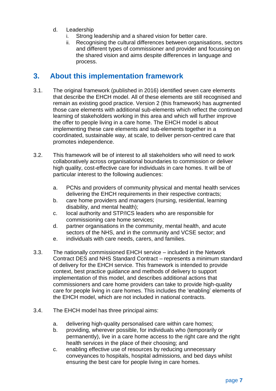- d. Leadership
	- Strong leadership and a shared vision for better care.
	- ii. Recognising the cultural differences between organisations, sectors and different types of commissioner and provider and focussing on the shared vision and aims despite differences in language and process.

# <span id="page-7-0"></span>**3. About this implementation framework**

- 3.1. The original framework (published in 2016) identified seven care elements that describe the EHCH model. All of these elements are still recognised and remain as existing good practice. Version 2 (this framework) has augmented those care elements with additional sub-elements which reflect the continued learning of stakeholders working in this area and which will further improve the offer to people living in a care home. The EHCH model is about implementing these care elements and sub-elements together in a coordinated, sustainable way, at scale, to deliver person-centred care that promotes independence.
- 3.2. This framework will be of interest to all stakeholders who will need to work collaboratively across organisational boundaries to commission or deliver high quality, cost-effective care for individuals in care homes. It will be of particular interest to the following audiences:
	- a. PCNs and providers of community physical and mental health services delivering the EHCH requirements in their respective contracts;
	- b. care home providers and managers (nursing, residential, learning disability, and mental health);
	- c. local authority and STP/ICS leaders who are responsible for commissioning care home services;
	- d. partner organisations in the community, mental health, and acute sectors of the NHS, and in the community and VCSE sector; and
	- e. individuals with care needs, carers, and families.
- 3.3. The nationally commissioned EHCH service included in the Network Contract DES and NHS Standard Contract – represents a minimum standard of delivery for the EHCH service. This framework is intended to provide context, best practice guidance and methods of delivery to support implementation of this model, and describes additional actions that commissioners and care home providers can take to provide high-quality care for people living in care homes. This includes the 'enabling' elements of the EHCH model, which are not included in national contracts.
- 3.4. The EHCH model has three principal aims:
	- a. delivering high-quality personalised care within care homes;
	- b. providing, wherever possible, for individuals who (temporarily or permanently), live in a care home access to the right care and the right health services in the place of their choosing; and
	- c. enabling effective use of resources by reducing unnecessary conveyances to hospitals, hospital admissions, and bed days whilst ensuring the best care for people living in care homes.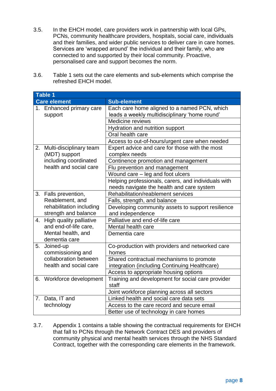- 3.5. In the EHCH model, care providers work in partnership with local GPs, PCNs, community healthcare providers, hospitals, social care, individuals and their families, and wider public services to deliver care in care homes. Services are 'wrapped around' the individual and their family, who are connected to and supported by their local community. Proactive, personalised care and support becomes the norm.
- 3.6. Table 1 sets out the care elements and sub-elements which comprise the refreshed EHCH model.

|    | <b>Table 1</b>                                   |                                                                 |  |
|----|--------------------------------------------------|-----------------------------------------------------------------|--|
|    | <b>Care element</b>                              | <b>Sub-element</b>                                              |  |
|    | 1. Enhanced primary care                         | Each care home aligned to a named PCN, which                    |  |
|    | support                                          | leads a weekly multidisciplinary 'home round'                   |  |
|    |                                                  | Medicine reviews                                                |  |
|    |                                                  | Hydration and nutrition support                                 |  |
|    |                                                  | Oral health care                                                |  |
|    |                                                  | Access to out-of-hours/urgent care when needed                  |  |
| 2. | Multi-disciplinary team<br>(MDT) support         | Expert advice and care for those with the most<br>complex needs |  |
|    | including coordinated                            | Continence promotion and management                             |  |
|    | health and social care                           | Flu prevention and management                                   |  |
|    |                                                  | Wound care - leg and foot ulcers                                |  |
|    |                                                  | Helping professionals, carers, and individuals with             |  |
|    |                                                  | needs navigate the health and care system                       |  |
| 3. | Falls prevention,                                | Rehabilitation/reablement services                              |  |
|    | Reablement, and                                  | Falls, strength, and balance                                    |  |
|    | rehabilitation including<br>strength and balance | Developing community assets to support resilience               |  |
| 4. | High quality palliative                          | and independence<br>Palliative and end-of-life care             |  |
|    | and end-of-life care,                            | Mental health care                                              |  |
|    | Mental health, and                               | Dementia care                                                   |  |
|    | dementia care                                    |                                                                 |  |
| 5. | Joined-up<br>commissioning and                   | Co-production with providers and networked care<br>homes        |  |
|    | collaboration between                            | Shared contractual mechanisms to promote                        |  |
|    | health and social care                           | integration (including Continuing Healthcare)                   |  |
|    |                                                  | Access to appropriate housing options                           |  |
| 6. | Workforce development                            | Training and development for social care provider<br>staff      |  |
|    |                                                  | Joint workforce planning across all sectors                     |  |
|    | 7. Data, IT and                                  | Linked health and social care data sets                         |  |
|    | technology                                       | Access to the care record and secure email                      |  |
|    |                                                  | Better use of technology in care homes                          |  |

3.7. Appendix 1 contains a table showing the contractual requirements for EHCH that fall to PCNs through the Network Contract DES and providers of community physical and mental health services through the NHS Standard Contract, together with the corresponding care elements in the framework.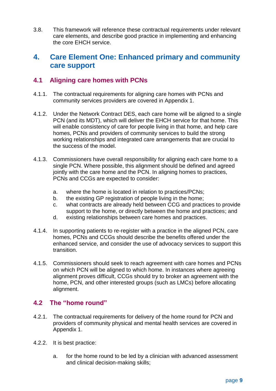3.8. This framework will reference these contractual requirements under relevant care elements, and describe good practice in implementing and enhancing the core EHCH service.

# <span id="page-9-0"></span>**4. Care Element One: Enhanced primary and community care support**

## <span id="page-9-1"></span>**4.1 Aligning care homes with PCNs**

- 4.1.1. The contractual requirements for aligning care homes with PCNs and community services providers are covered in Appendix 1.
- 4.1.2. Under the Network Contract DES, each care home will be aligned to a single PCN (and its MDT), which will deliver the EHCH service for that home. This will enable consistency of care for people living in that home, and help care homes, PCNs and providers of community services to build the strong working relationships and integrated care arrangements that are crucial to the success of the model.
- 4.1.3. Commissioners have overall responsibility for aligning each care home to a single PCN. Where possible, this alignment should be defined and agreed jointly with the care home and the PCN. In aligning homes to practices, PCNs and CCGs are expected to consider:
	- a. where the home is located in relation to practices/PCNs;
	- b. the existing GP registration of people living in the home;
	- c. what contracts are already held between CCG and practices to provide support to the home, or directly between the home and practices; and
	- d. existing relationships between care homes and practices.
- 4.1.4. In supporting patients to re-register with a practice in the aligned PCN, care homes, PCNs and CCGs should describe the benefits offered under the enhanced service, and consider the use of advocacy services to support this transition.
- 4.1.5. Commissioners should seek to reach agreement with care homes and PCNs on which PCN will be aligned to which home. In instances where agreeing alignment proves difficult, CCGs should try to broker an agreement with the home, PCN, and other interested groups (such as LMCs) before allocating alignment.

#### <span id="page-9-2"></span>**4.2 The "home round"**

- 4.2.1. The contractual requirements for delivery of the home round for PCN and providers of community physical and mental health services are covered in Appendix 1.
- 4.2.2. It is best practice:
	- a. for the home round to be led by a clinician with advanced assessment and clinical decision-making skills;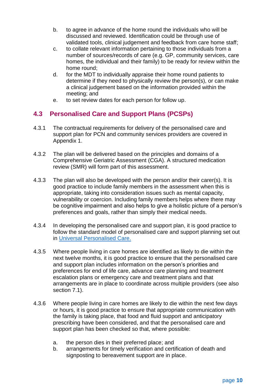- b. to agree in advance of the home round the individuals who will be discussed and reviewed. Identification could be through use of validated tools, clinical judgement and feedback from care home staff;
- c. to collate relevant information pertaining to those individuals from a number of sources/records of care (e.g. GP, community services, care homes, the individual and their family) to be ready for review within the home round;
- d. for the MDT to individually appraise their home round patients to determine if they need to physically review the person(s), or can make a clinical judgement based on the information provided within the meeting; and
- e. to set review dates for each person for follow up.

# <span id="page-10-0"></span>**4.3 Personalised Care and Support Plans (PCSPs)**

- 4.3.1 The contractual requirements for delivery of the personalised care and support plan for PCN and community services providers are covered in Appendix 1.
- 4.3.2 The plan will be delivered based on the principles and domains of a Comprehensive Geriatric Assessment (CGA). A structured medication review (SMR) will form part of this assessment.
- 4.3.3 The plan will also be developed with the person and/or their carer(s). It is good practice to include family members in the assessment when this is appropriate, taking into consideration issues such as mental capacity, vulnerability or coercion. Including family members helps where there may be cognitive impairment and also helps to give a holistic picture of a person's preferences and goals, rather than simply their medical needs.
- 4.3.4 In developing the personalised care and support plan, it is good practice to follow the standard model of personalised care and support planning set out in [Universal Personalised Care.](https://www.england.nhs.uk/publication/universal-personalised-care-implementing-the-comprehensive-model/)
- 4.3.5 Where people living in care homes are identified as likely to die within the next twelve months, it is good practice to ensure that the personalised care and support plan includes information on the person's priorities and preferences for end of life care, advance care planning and treatment escalation plans or emergency care and treatment plans and that arrangements are in place to coordinate across multiple providers (see also section 7.1).
- 4.3.6 Where people living in care homes are likely to die within the next few days or hours, it is good practice to ensure that appropriate communication with the family is taking place, that food and fluid support and anticipatory prescribing have been considered, and that the personalised care and support plan has been checked so that, where possible:
	- a. the person dies in their preferred place; and
	- b. arrangements for timely verification and certification of death and signposting to bereavement support are in place.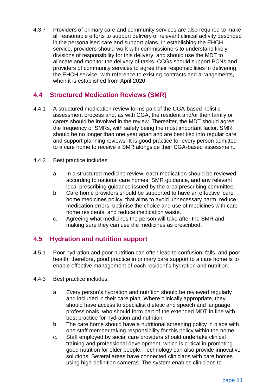4.3.7 Providers of primary care and community services are also required to make all reasonable efforts to support delivery of relevant clinical activity described in the personalised care and support plans. In establishing the EHCH service, providers should work with commissioners to understand likely divisions of responsibility for this delivery, and should use the MDT to allocate and monitor the delivery of tasks. CCGs should support PCNs and providers of community services to agree their responsibilities in delivering the EHCH service, with reference to existing contracts and arrangements, when it is established from April 2020.

# <span id="page-11-0"></span>**4.4 Structured Medication Reviews (SMR)**

- 4.4.1 A structured medication review forms part of the CGA-based holistic assessment process and, as with CGA, the resident and/or their family or carers should be involved in the review. Thereafter, the MDT should agree the frequency of SMRs, with safety being the most important factor. SMR should be no longer than one year apart and are best tied into regular care and support planning reviews. It is good practice for every person admitted to a care home to receive a SMR alongside their CGA-based assessment.
- 4.4.2 Best practice includes:
	- a. In a structured medicine review, each medication should be reviewed according to national care homes, SMR guidance, and any relevant local prescribing guidance issued by the area prescribing committee.
	- b. Care home providers should be supported to have an effective 'care home medicines policy' that aims to avoid unnecessary harm, reduce medication errors, optimise the choice and use of medicines with care home residents, and reduce medication waste.
	- c. Agreeing what medicines the person will take after the SMR and making sure they can use the medicines as prescribed.

# <span id="page-11-1"></span>**4.5 Hydration and nutrition support**

- 4.5.1 Poor hydration and poor nutrition can often lead to confusion, falls, and poor health; therefore, good practice in primary care support to a care home is to enable effective management of each resident's hydration and nutrition.
- 4.4.3 Best practice includes:
	- a. Every person's hydration and nutrition should be reviewed regularly and included in their care plan. Where clinically appropriate, they should have access to specialist dietetic and speech and language professionals, who should form part of the extended MDT in line with best practice for hydration and nutrition.
	- b. The care home should have a nutritional screening policy in place with one staff member taking responsibility for this policy within the home.
	- c. Staff employed by social care providers should undertake clinical training and professional development, which is critical in promoting good nutrition for older people. Technology can also provide innovative solutions. Several areas have connected clinicians with care homes using high-definition cameras. The system enables clinicians to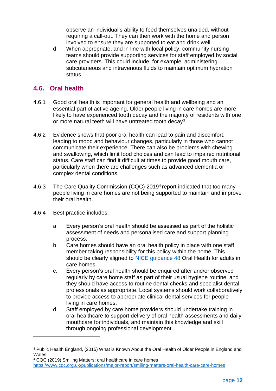observe an individual's ability to feed themselves unaided, without requiring a call-out. They can then work with the home and person involved to ensure they are supported to eat and drink well.

d. When appropriate, and in line with local policy, community nursing teams should provide supporting services for staff employed by social care providers. This could include, for example, administering subcutaneous and intravenous fluids to maintain optimum hydration status.

# <span id="page-12-0"></span>**4.6. Oral health**

- 4.6.1 Good oral health is important for general health and wellbeing and an essential part of active ageing. Older people living in care homes are more likely to have experienced tooth decay and the majority of residents with one or more natural teeth will have untreated tooth decay<sup>3</sup>.
- 4.6.2 Evidence shows that poor oral health can lead to pain and discomfort, leading to mood and behaviour changes, particularly in those who cannot communicate their experience. There can also be problems with chewing and swallowing, which limit food choices and can lead to impaired nutritional status. Care staff can find it difficult at times to provide good mouth care, particularly when there are challenges such as advanced dementia or complex dental conditions.
- 4.6.3 The Care Quality Commission (CQC) 2019<sup>4</sup> report indicated that too many people living in care homes are not being supported to maintain and improve their oral health.
- 4.6.4 Best practice includes:

1

- a. Every person's oral health should be assessed as part of the holistic assessment of needs and personalised care and support planning process.
- b. Care homes should have an oral health policy in place with one staff member taking responsibility for this policy within the home. This should be clearly aligned to [NICE guidance 48](https://www.nice.org.uk/guidance/ng48/chapter/Recommendations) Oral Health for adults in care homes.
- c. Every person's oral health should be enquired after and/or observed regularly by care home staff as part of their usual hygiene routine, and they should have access to routine dental checks and specialist dental professionals as appropriate. Local systems should work collaboratively to provide access to appropriate clinical dental services for people living in care homes.
- d. Staff employed by care home providers should undertake training in oral healthcare to support delivery of oral health assessments and daily mouthcare for individuals, and maintain this knowledge and skill through ongoing professional development.

<sup>4</sup> CQC (2019) Smiling Matters: oral healthcare in care homes <https://www.cqc.org.uk/publications/major-report/smiling-matters-oral-health-care-care-homes>

<sup>3</sup> Public Health England, (2015) What is Known About the Oral Health of Older People in England and **Wales**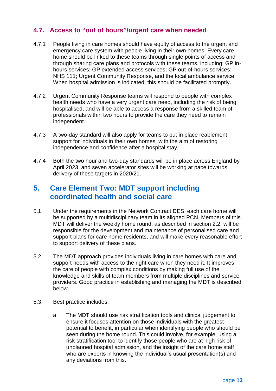# <span id="page-13-0"></span>**4.7. Access to "out of hours"/urgent care when needed**

- 4.7.1 People living in care homes should have equity of access to the urgent and emergency care system with people living in their own homes. Every care home should be linked to these teams through single points of access and through sharing care plans and protocols with these teams, including: GP inhours services; GP extended access services; GP out-of-hours services: NHS 111; [Urgent Community Response,](https://www.england.nhs.uk/2020/01/rapid-nhs-response-teams-to-help-people-stay-well-at-home/) and the local ambulance service. When hospital admission is indicated, this should be facilitated promptly.
- 4.7.2 Urgent Community Response teams will respond to people with complex health needs who have a very urgent care need, including the risk of being hospitalised, and will be able to access a response from a skilled team of professionals within two hours to provide the care they need to remain independent.
- 4.7.3 A two-day standard will also apply for teams to put in place reablement support for individuals in their own homes, with the aim of restoring independence and confidence after a hospital stay.
- 4.7.4 Both the two hour and two-day standards will be in place across England by April 2023, and seven accelerator sites will be working at pace towards delivery of these targets in 2020/21.

# <span id="page-13-1"></span>**5. Care Element Two: MDT support including coordinated health and social care**

- 5.1. Under the requirements in the Network Contract DES, each care home will be supported by a multidisciplinary team in its aligned PCN. Members of this MDT will deliver the weekly home round, as described in section 2.2, will be responsible for the development and maintenance of personalised care and support plans for care home residents, and will make every reasonable effort to support delivery of these plans.
- 5.2. The MDT approach provides individuals living in care homes with care and support needs with access to the right care when they need it. It improves the care of people with complex conditions by making full use of the knowledge and skills of team members from multiple disciplines and service providers. Good practice in establishing and managing the MDT is described below.
- 5.3. Best practice includes:
	- a. The MDT should use risk stratification tools and clinical judgement to ensure it focuses attention on those individuals with the greatest potential to benefit, in particular when identifying people who should be seen during the home round. This could involve, for example, using a risk stratification tool to identify those people who are at high risk of unplanned hospital admission, and the insight of the care home staff who are experts in knowing the individual's usual presentation(s) and any deviations from this.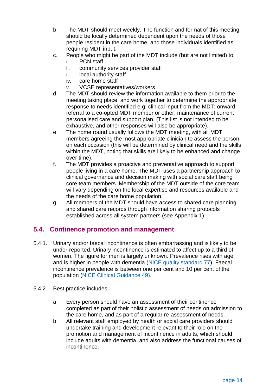- b. The MDT should meet weekly. The function and format of this meeting should be locally determined dependent upon the needs of those people resident in the care home, and those individuals identified as requiring MDT input.
- c. People who might be part of the MDT include (but are not limited) to;
	- i. PCN staff
	- ii. community services provider staff
	- iii. local authority staff
	- iv. care home staff
	- v. VCSE representatives/workers
- d. The MDT should review the information available to them prior to the meeting taking place, and work together to determine the appropriate response to needs identified e.g. clinical input from the MDT; onward referral to a co-opted MDT member or other; maintenance of current personalised care and support plan. (This list is not intended to be exhaustive, and other responses will also be appropriate).
- e. The home round usually follows the MDT meeting, with all MDT members agreeing the most appropriate clinician to assess the person on each occasion (this will be determined by clinical need and the skills within the MDT, noting that skills are likely to be enhanced and change over time).
- f. The MDT provides a proactive and preventative approach to support people living in a care home. The MDT uses a partnership approach to clinical governance and decision making with social care staff being core team members. Membership of the MDT outside of the core team will vary depending on the local expertise and resources available and the needs of the care home population.
- g. All members of the MDT should have access to shared care planning and shared care records through information sharing protocols established across all system partners (see Appendix 1).

# <span id="page-14-0"></span>**5.4. Continence promotion and management**

- 5.4.1. Urinary and/or faecal incontinence is often embarrassing and is likely to be under-reported. Urinary incontinence is estimated to affect up to a third of women. The figure for men is largely unknown. Prevalence rises with age and is higher in people with dementia [\(NICE quality standard 77\)](https://www.nice.org.uk/guidance/qs77/chapter/About-this-quality-standard). Faecal incontinence prevalence is between one per cent and 10 per cent of the population [\(NICE Clinical Guidance 49\)](https://www.nice.org.uk/guidance/cg49).
- 5.4.2. Best practice includes:
	- a. Every person should have an assessment of their continence completed as part of their holistic assessment of needs on admission to the care home, and as part of a regular re-assessment of needs.
	- b. All relevant staff employed by health or social care providers should undertake training and development relevant to their role on the promotion and management of incontinence in adults, which should include adults with dementia, and also address the functional causes of incontinence.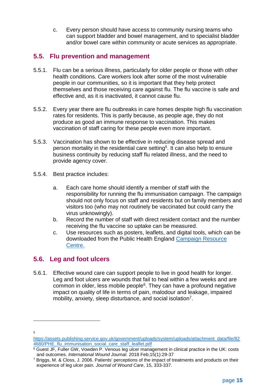c. Every person should have access to community nursing teams who can support bladder and bowel management, and to specialist bladder and/or bowel care within community or acute services as appropriate.

## <span id="page-15-0"></span>**5.5. Flu prevention and management**

- 5.5.1. Flu can be a serious illness, particularly for older people or those with other health conditions. Care workers look after some of the most vulnerable people in our communities, so it is important that they help protect themselves and those receiving care against flu. The flu vaccine is safe and effective and, as it is inactivated, it cannot cause flu.
- 5.5.2. Every year there are flu outbreaks in care homes despite high flu vaccination rates for residents. This is partly because, as people age, they do not produce as good an immune response to vaccination. This makes vaccination of staff caring for these people even more important.
- 5.5.3. Vaccination has shown to be effective in reducing disease spread and person mortality in the residential care setting<sup>5</sup>. It can also help to ensure business continuity by reducing staff flu related illness, and the need to provide agency cover.
- 5.5.4. Best practice includes:
	- a. Each care home should identify a member of staff with the responsibility for running the flu immunisation campaign. The campaign should not only focus on staff and residents but on family members and visitors too (who may not routinely be vaccinated but could carry the virus unknowingly).
	- b. Record the number of staff with direct resident contact and the number receiving the flu vaccine so uptake can be measured.
	- c. Use resources such as posters, leaflets, and digital tools, which can be downloaded from the Public Health England [Campaign Resource](https://campaignresources.phe.gov.uk/resources/campaigns/92-health-and-social-care-workers-flu-immunisation-/overview)  [Centre.](https://campaignresources.phe.gov.uk/resources/campaigns/92-health-and-social-care-workers-flu-immunisation-/overview)

# <span id="page-15-1"></span>**5.6. Leg and foot ulcers**

5.6.1. Effective wound care can support people to live in good health for longer. Leg and foot ulcers are wounds that fail to heal within a few weeks and are common in older, less mobile people<sup>6</sup>. They can have a profound negative impact on quality of life in terms of pain, malodour and leakage, impaired mobility, anxiety, sleep disturbance, and social isolation<sup>7</sup>.

5

1

[https://assets.publishing.service.gov.uk/government/uploads/system/uploads/attachment\\_data/file/82](https://assets.publishing.service.gov.uk/government/uploads/system/uploads/attachment_data/file/824680/PHE_flu_immunisation_social_care_staff_leaflet.pdf) [4680/PHE\\_flu\\_immunisation\\_social\\_care\\_staff\\_leaflet.pdf](https://assets.publishing.service.gov.uk/government/uploads/system/uploads/attachment_data/file/824680/PHE_flu_immunisation_social_care_staff_leaflet.pdf)

<sup>&</sup>lt;sup>6</sup> Guest JF, Fuller GW, Vowden P. Venous leg ulcer management in clinical practice in the UK: costs and outcomes. *International Wound Journal*. 2018 Feb;15(1):29-37

<sup>7</sup> Briggs, M. & Closs, J. 2006. Patients' perceptions of the impact of treatments and products on their experience of leg ulcer pain*. Journal of Wound Care*, 15, 333-337.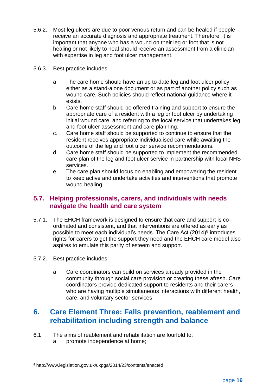- 5.6.2. Most leg ulcers are due to poor venous return and can be healed if people receive an accurate diagnosis and appropriate treatment. Therefore, it is important that anyone who has a wound on their leg or foot that is not healing or not likely to heal should receive an assessment from a clinician with expertise in leg and foot ulcer management.
- 5.6.3. Best practice includes:
	- a. The care home should have an up to date leg and foot ulcer policy, either as a stand-alone document or as part of another policy such as wound care. Such policies should reflect national guidance where it exists.
	- b. Care home staff should be offered training and support to ensure the appropriate care of a resident with a leg or foot ulcer by undertaking initial wound care, and referring to the local service that undertakes leg and foot ulcer assessment and care planning.
	- c. Care home staff should be supported to continue to ensure that the resident receives appropriate individualised care while awaiting the outcome of the leg and foot ulcer service recommendations.
	- d. Care home staff should be supported to implement the recommended care plan of the leg and foot ulcer service in partnership with local NHS services.
	- e. The care plan should focus on enabling and empowering the resident to keep active and undertake activities and interventions that promote wound healing.

## <span id="page-16-0"></span>**5.7. Helping professionals, carers, and individuals with needs navigate the health and care system**

- 5.7.1. The EHCH framework is designed to ensure that care and support is coordinated and consistent, and that interventions are offered as early as possible to meet each individual's needs. The Care Act  $(2014)^8$  introduces rights for carers to get the support they need and the EHCH care model also aspires to emulate this parity of esteem and support.
- 5.7.2. Best practice includes:

1

a. Care coordinators can build on services already provided in the community through social care provision or creating these afresh. Care coordinators provide dedicated support to residents and their carers who are having multiple simultaneous interactions with different health, care, and voluntary sector services.

# <span id="page-16-1"></span>**6. Care Element Three: Falls prevention, reablement and rehabilitation including strength and balance**

- 6.1 The aims of reablement and rehabilitation are fourfold to:
	- a. promote independence at home;

<sup>8</sup> http://www.legislation.gov.uk/ukpga/2014/23/contents/enacted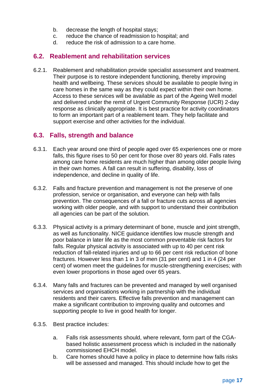- b. decrease the length of hospital stays;
- c. reduce the chance of readmission to hospital; and
- d. reduce the risk of admission to a care home.

#### <span id="page-17-0"></span>**6.2. Reablement and rehabilitation services**

6.2.1. Reablement and rehabilitation provide specialist assessment and treatment. Their purpose is to restore independent functioning, thereby improving health and wellbeing. These services should be available to people living in care homes in the same way as they could expect within their own home. Access to these services will be available as part of the Ageing Well model and delivered under the remit of Urgent Community Response (UCR) 2-day response as clinically appropriate. It is best practice for activity coordinators to form an important part of a reablement team. They help facilitate and support exercise and other activities for the individual.

#### <span id="page-17-1"></span>**6.3. Falls, strength and balance**

- 6.3.1. Each year around one third of people aged over 65 experiences one or more falls, this figure rises to 50 per cent for those over 80 years old. Falls rates among care home residents are much higher than among older people living in their own homes. A fall can result in suffering, disability, loss of independence, and decline in quality of life.
- 6.3.2. Falls and fracture prevention and management is not the preserve of one profession, service or organisation, and everyone can help with falls prevention. The consequences of a fall or fracture cuts across all agencies working with older people, and with support to understand their contribution all agencies can be part of the solution.
- 6.3.3. Physical activity is a primary determinant of bone, muscle and joint strength, as well as functionality. [NICE guidance](https://www.nice.org.uk/guidance/cg161) identifies low muscle strength and poor balance in later life as the most common preventable risk factors for falls. Regular physical activity is associated with up to 40 per cent risk reduction of fall-related injuries and up to 66 per cent risk reduction of bone fractures. However less than 1 in 3 of men (31 per cent) and 1 in 4 (24 per cent) of women meet the guidelines for muscle-strengthening exercises; with even lower proportions in those aged over 65 years.
- 6.3.4. Many falls and fractures can be prevented and managed by well organised services and organisations working in partnership with the individual residents and their carers. Effective falls prevention and management can make a significant contribution to improving quality and outcomes and supporting people to live in good health for longer.
- 6.3.5. Best practice includes:
	- a. Falls risk assessments should, where relevant, form part of the CGAbased holistic assessment process which is included in the nationally commissioned EHCH model.
	- b. Care homes should have a policy in place to determine how falls risks will be assessed and managed. This should include how to get the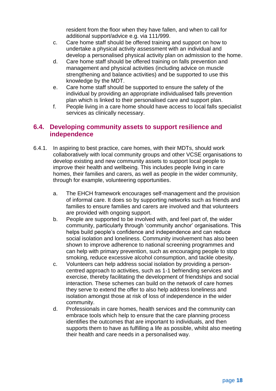resident from the floor when they have fallen, and when to call for additional support/advice e.g. via 111/999.

- c. Care home staff should be offered training and support on how to undertake a physical activity assessment with an individual and develop a personalised physical activity plan on admission to the home.
- d. Care home staff should be offered training on falls prevention and management and physical activities (including advice on muscle strengthening and balance activities) and be supported to use this knowledge by the MDT.
- e. Care home staff should be supported to ensure the safety of the individual by providing an appropriate individualised falls prevention plan which is linked to their personalised care and support plan.
- f. People living in a care home should have access to local falls specialist services as clinically necessary.

#### <span id="page-18-0"></span>**6.4. Developing community assets to support resilience and independence**

- 6.4.1. In aspiring to best practice, care homes, with their MDTs, should work collaboratively with local community groups and other VCSE organisations to develop existing and new community assets to support local people to improve their health and wellbeing. This includes people living in care homes, their families and carers, as well as people in the wider community, through for example, volunteering opportunities.
	- a. The EHCH framework encourages self-management and the provision of informal care. It does so by supporting networks such as friends and families to ensure families and carers are involved and that volunteers are provided with ongoing support.
	- b. People are supported to be involved with, and feel part of, the wider community, particularly through 'community anchor' organisations. This helps build people's confidence and independence and can reduce social isolation and loneliness. Community involvement has also been shown to improve adherence to national screening programmes and can help with primary prevention, such as encouraging people to stop smoking, reduce excessive alcohol consumption, and tackle obesity.
	- c. Volunteers can help address social isolation by providing a personcentred approach to activities, such as 1-1 befriending services and exercise, thereby facilitating the development of friendships and social interaction. These schemes can build on the network of care homes they serve to extend the offer to also help address loneliness and isolation amongst those at risk of loss of independence in the wider community.
	- d. Professionals in care homes, health services and the community can embrace tools which help to ensure that the care planning process identifies the outcomes that are important to individuals, and then supports them to have as fulfilling a life as possible, whilst also meeting their health and care needs in a personalised way.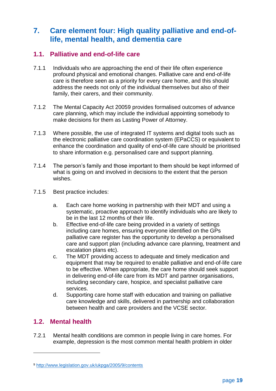# <span id="page-19-0"></span>**7. Care element four: High quality palliative and end-oflife, mental health, and dementia care**

## <span id="page-19-1"></span>**1.1. Palliative and end-of-life care**

- 7.1.1 Individuals who are approaching the end of their life often experience profound physical and emotional changes. Palliative care and end-of-life care is therefore seen as a priority for every care home, and this should address the needs not only of the individual themselves but also of their family, their carers, and their community.
- 7.1.2 The Mental Capacity Act 20059 provides formalised outcomes of advance care planning, which may include the individual appointing somebody to make decisions for them as Lasting Power of Attorney.
- 7.1.3 Where possible, the use of integrated IT systems and digital tools such as the electronic palliative care coordination system (EPaCCS) or equivalent to enhance the coordination and quality of end-of-life care should be prioritised to share information e.g. personalised care and support planning.
- 7.1.4 The person's family and those important to them should be kept informed of what is going on and involved in decisions to the extent that the person wishes.
- 7.1.5 Best practice includes:
	- a. Each care home working in partnership with their MDT and using a systematic, proactive approach to identify individuals who are likely to be in the last 12 months of their life.
	- b. Effective end-of-life care being provided in a variety of settings including care homes, ensuring everyone identified on the GPs palliative care register has the opportunity to develop a personalised care and support plan (including advance care planning, treatment and escalation plans etc).
	- c. The MDT providing access to adequate and timely medication and equipment that may be required to enable palliative and end-of-life care to be effective. When appropriate, the care home should seek support in delivering end-of-life care from its MDT and partner organisations, including secondary care, hospice, and specialist palliative care services.
	- d. Supporting care home staff with education and training on palliative care knowledge and skills, delivered in partnership and collaboration between health and care providers and the VCSE sector.

# <span id="page-19-2"></span>**1.2. Mental health**

1

7.2.1 Mental health conditions are common in people living in care homes. For example, depression is the most common mental health problem in older

<sup>9</sup> <http://www.legislation.gov.uk/ukpga/2005/9/contents>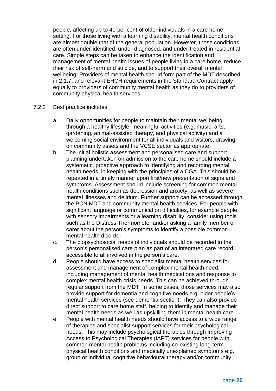people, affecting up to 40 per cent of older individuals in a care home setting. For those living with a learning disability, mental health conditions are almost double that of the general population. However, those conditions are often under-identified, under-diagnosed, and under-treated in residential care. Simple steps can be taken to enhance the identification and management of mental health issues of people living in a care home, reduce their risk of self-harm and suicide, and to support their overall mental wellbeing. Providers of mental health should form part of the MDT described in 2.1.7, and relevant EHCH requirements in the Standard Contract apply equally to providers of community mental health as they do to providers of community physical health services.

- 7.2.2 Best practice includes:
	- a. Daily opportunities for people to maintain their mental wellbeing through a healthy lifestyle, meaningful activities (e.g. music, arts, gardening, animal-assisted therapy, and physical activity) and a welcoming social environment for all individuals and visitors, drawing on community assets and the VCSE sector as appropriate.
	- b. The initial holistic assessment and personalised care and support planning undertaken on admission to the care home should include a systematic, proactive approach to identifying and recording mental health needs, in keeping with the principles of a CGA. This should be repeated in a timely manner upon first/new presentation of signs and symptoms. Assessment should include screening for common mental health conditions such as depression and anxiety, as well as severe mental illnesses and delirium. Further support can be accessed through the PCN MDT and community mental health services. For people with significant language or communication difficulties, for example people with sensory impairments or a learning disability, consider using tools such as the Distress Thermometer and/or asking a family member of carer about the person's symptoms to identify a possible common mental health disorder.
	- c. The biopsychosocial needs of individuals should be recorded in the person's personalised care plan as part of an integrated care record, accessible to all involved in the person's care.
	- d. People should have access to specialist mental health services for assessment and management of complex mental health need, including management of mental health medications and response to complex mental health crisis needs. This can be achieved through regular support from the MDT. In some cases, those services may also provide support for dementia and cognitive needs e.g. older people's mental health services (see dementia section). They can also provide direct support to care home staff, helping to identify and manage their mental health needs as well as upskilling them in mental health care.
	- e. People with mental health needs should have access to a wide range of therapies and specialist support services for their psychological needs. This may include psychological therapies through Improving Access to Psychological Therapies (IAPT) services for people with common mental health problems including co-existing long-term physical health conditions and medically unexplained symptoms e.g. group or individual cognitive behavioural therapy and/or community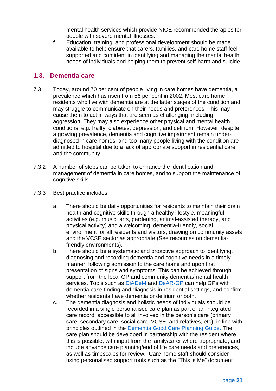mental health services which provide NICE recommended therapies for people with severe mental illnesses.

f. Education, training, and professional development should be made available to help ensure that carers, families, and care home staff feel supported and confident in identifying and managing the mental health needs of individuals and helping them to prevent self-harm and suicide.

#### <span id="page-21-0"></span>**1.3. Dementia care**

- 7.3.1 Today, around [70 per cent](https://www.alzheimers.org.uk/about-us/news-and-media/facts-media) of people living in care homes have dementia, a prevalence which has risen from 56 per cent in 2002. Most care home residents who live with dementia are at the latter stages of the condition and may struggle to communicate on their needs and preferences. This may cause them to act in ways that are seen as challenging, including aggression. They may also experience other physical and mental health conditions, e.g. frailty, diabetes, depression, and delirium. However, despite a growing prevalence, dementia and cognitive impairment remain underdiagnosed in care homes, and too many people living with the condition are admitted to hospital due to a lack of appropriate support in residential care and the community.
- 7.3.2 A number of steps can be taken to enhance the identification and management of dementia in care homes, and to support the maintenance of cognitive skills.
- 7.3.3 Best practice includes:
	- a. There should be daily opportunities for residents to maintain their brain health and cognitive skills through a healthy lifestyle, meaningful activities (e.g. music, arts, gardening, animal-assisted therapy, and physical activity) and a welcoming, dementia-friendly, social environment for all residents and visitors, drawing on community assets and the VCSE sector as appropriate (See resources on dementiafriendly environments).
	- b. There should be a systematic and proactive approach to identifying, diagnosing and recording dementia and cognitive needs in a timely manner, following admission to the care home and upon first presentation of signs and symptoms. This can be achieved through support from the local GP and community dementia/mental health services. Tools such as [DiADeM](https://www.alzheimers.org.uk/dementia-professionals/resources-gps/diadem-diagnosing-advanced-dementia-mandate?gclid=Cj0KCQjwsYb0BRCOARIsAHbLPhGCXiA9tyLET9IBaMba0r-fQRszdrc7CQC-YmnbiI2QcUq-g550aDAaAq6REALw_wcB&gclsrc=aw.ds) and [DeAR-GP](https://www.alzheimers.org.uk/dementia-professionals/resources-gps/dear-gp-dementia-assessment-referral-gp) can help GPs with dementia case finding and diagnosis in residential settings, and confirm whether residents have dementia or delirium or both.
	- c. The dementia diagnosis and holistic needs of individuals should be recorded in a single personalised care plan as part of an integrated care record, accessible to all involved in the person's care (primary care, secondary care, social care, VCSE, and relatives, etc), in line with principles outlined in the [Dementia Good Care Planning Guide.](http://tvscn.nhs.uk/wp-content/uploads/2019/03/NHSE-dementia-good-care-planning-guide-2017.pdf) The care plan should be developed in partnership with the resident where this is possible, with input from the family/carer where appropriate, and include advance care planning/end of life care needs and preferences, as well as timescales for review. Care home staff should consider using personalised support tools such as the ["This is Me"](https://www.alzheimers.org.uk/sites/default/files/migrate/downloads/this_is_me.pdf) document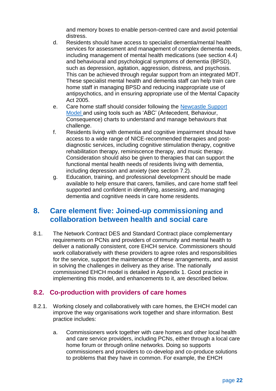and memory boxes to enable person-centred care and avoid potential distress.

- d. Residents should have access to specialist dementia/mental health services for assessment and management of complex dementia needs, including management of mental health medications (see section 4.4) and behavioural and psychological symptoms of dementia (BPSD), such as depression, agitation, aggression, distress, and psychosis. This can be achieved through regular support from an integrated MDT. These specialist mental health and dementia staff can help train care home staff in managing BPSD and reducing inappropriate use of antipsychotics, and in ensuring appropriate use of the Mental Capacity Act 2005.
- e. Care home staff should consider following the [Newcastle Support](http://www.twca.org.uk/documents/Generic%20Documents/Dementia/Understanding%20and%20improving%20the%20care%20of%20a%20person%20with%20challenging%20behaviour%20V4%2018%2008%2010.pdf)  [Model a](http://www.twca.org.uk/documents/Generic%20Documents/Dementia/Understanding%20and%20improving%20the%20care%20of%20a%20person%20with%20challenging%20behaviour%20V4%2018%2008%2010.pdf)nd using tools such as 'ABC' (Antecedent, Behaviour, Consequence) charts to understand and manage behaviours that challenge.
- f. Residents living with dementia and cognitive impairment should have access to a wide range of NICE-recommended therapies and postdiagnostic services, including cognitive stimulation therapy, cognitive rehabilitation therapy, reminiscence therapy, and music therapy. Consideration should also be given to therapies that can support the functional mental health needs of residents living with dementia, including depression and anxiety (see section 7.2).
- g. Education, training, and professional development should be made available to help ensure that carers, families, and care home staff feel supported and confident in identifying, assessing, and managing dementia and cognitive needs in care home residents.

# <span id="page-22-0"></span>**8. Care element five: Joined-up commissioning and collaboration between health and social care**

8.1. The Network Contract DES and Standard Contract place complementary requirements on PCNs and providers of community and mental health to deliver a nationally consistent, core EHCH service. Commissioners should work collaboratively with these providers to agree roles and responsibilities for the service, support the maintenance of these arrangements, and assist in solving the challenges in delivery as they arise. The nationally commissioned EHCH model is detailed in Appendix 1. Good practice in implementing this model, and enhancements to it, are described below.

#### <span id="page-22-1"></span>**8.2. Co-production with providers of care homes**

- 8.2.1. Working closely and collaboratively with care homes, the EHCH model can improve the way organisations work together and share information. Best practice includes:
	- a. Commissioners work together with care homes and other local health and care service providers, including PCNs, either through a local care home forum or through online networks. Doing so supports commissioners and providers to co-develop and co-produce solutions to problems that they have in common. For example, the EHCH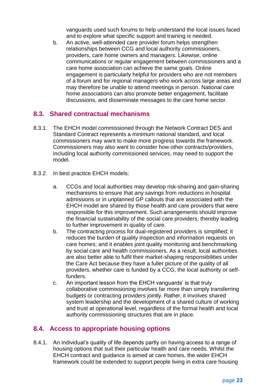vanguards used such forums to help understand the local issues faced and to explore what specific support and training is needed.

b. An active, well-attended care provider forum helps strengthen relationships between CCG and local authority commissioners, providers, care home owners and managers. Likewise, online communications or regular engagement between commissioners and a care home association can achieve the same goals. Online engagement is particularly helpful for providers who are not members of a forum and for regional managers who work across large areas and may therefore be unable to attend meetings in person. National care home associations can also promote better engagement, facilitate discussions, and disseminate messages to the care home sector.

## <span id="page-23-0"></span>**8.3. Shared contractual mechanisms**

- 8.3.1. The EHCH model commissioned through the Network Contract DES and Standard Contract represents a minimum national standard, and local commissioners may want to make more progress towards the framework. Commissioners may also want to consider how other contracts/providers, including local authority commissioned services, may need to support the model.
- 8.3.2. In best practice EHCH models:
	- a. CCGs and local authorities may develop risk-sharing and gain-sharing mechanisms to ensure that any savings from reductions in hospital admissions or in unplanned GP callouts that are associated with the EHCH model are shared by those health and care providers that were responsible for this improvement. Such arrangements should improve the financial sustainability of the social care providers, thereby leading to further improvement in quality of care.
	- b. The contracting process for dual-registered providers is simplified; it reduces the burden of quality inspection and information requests on care homes; and it enables joint quality monitoring and benchmarking by social care and health commissioners. As a result, local authorities are also better able to fulfil their market-shaping responsibilities under the Care Act because they have a fuller picture of the quality of all providers, whether care is funded by a CCG, the local authority or selffunders.
	- c. An important lesson from the EHCH vanguards' is that truly collaborative commissioning involves far more than simply transferring budgets or contracting providers jointly. Rather, it involves shared system leadership and the development of a shared culture of working and trust at operational level, regardless of the formal health and local authority commissioning structures that are in place.

# <span id="page-23-1"></span>**8.4. Access to appropriate housing options**

8.4.1. An individual's quality of life depends partly on having access to a range of housing options that suit their particular health and care needs. Whilst the EHCH contract and guidance is aimed at care homes, the wider EHCH framework could be extended to support people living in extra care housing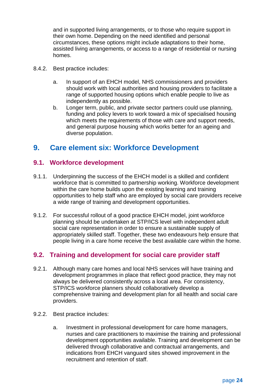and in supported living arrangements, or to those who require support in their own home. Depending on the need identified and personal circumstances, these options might include adaptations to their home, assisted living arrangements, or access to a range of residential or nursing homes.

- 8.4.2. Best practice includes:
	- a. In support of an EHCH model, NHS commissioners and providers should work with local authorities and housing providers to facilitate a range of supported housing options which enable people to live as independently as possible.
	- b. Longer term, public, and private sector partners could use planning, funding and policy levers to work toward a mix of specialised housing which meets the requirements of those with care and support needs. and general purpose housing which works better for an ageing and diverse population.

# <span id="page-24-0"></span>**9. Care element six: Workforce Development**

#### <span id="page-24-1"></span>**9.1. Workforce development**

- 9.1.1. Underpinning the success of the EHCH model is a skilled and confident workforce that is committed to partnership working. Workforce development within the care home builds upon the existing learning and training opportunities to help staff who are employed by social care providers receive a wide range of training and development opportunities.
- 9.1.2. For successful rollout of a good practice EHCH model, joint workforce planning should be undertaken at STP/ICS level with independent adult social care representation in order to ensure a sustainable supply of appropriately skilled staff. Together, these two endeavours help ensure that people living in a care home receive the best available care within the home.

# <span id="page-24-2"></span>**9.2. Training and development for social care provider staff**

- 9.2.1. Although many care homes and local NHS services will have training and development programmes in place that reflect good practice, they may not always be delivered consistently across a local area. For consistency, STP/ICS workforce planners should collaboratively develop a comprehensive training and development plan for all health and social care providers.
- 9.2.2. Best practice includes:
	- a. Investment in professional development for care home managers, nurses and care practitioners to maximise the training and professional development opportunities available. Training and development can be delivered through collaborative and contractual arrangements, and indications from EHCH vanguard sites showed improvement in the recruitment and retention of staff.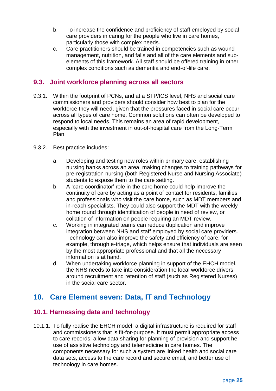- b. To increase the confidence and proficiency of staff employed by social care providers in caring for the people who live in care homes, particularly those with complex needs.
- c. Care practitioners should be trained in competencies such as wound management, nutrition, and falls and all of the care elements and subelements of this framework. All staff should be offered training in other complex conditions such as dementia and end-of-life care.

#### <span id="page-25-0"></span>**9.3. Joint workforce planning across all sectors**

- 9.3.1. Within the footprint of PCNs, and at a STP/ICS level, NHS and social care commissioners and providers should consider how best to plan for the workforce they will need, given that the pressures faced in social care occur across all types of care home. Common solutions can often be developed to respond to local needs. This remains an area of rapid development, especially with the investment in out-of-hospital care from the Long-Term Plan.
- 9.3.2. Best practice includes:
	- a. Developing and testing new roles within primary care, establishing nursing banks across an area, making changes to training pathways for pre-registration nursing (both Registered Nurse and Nursing Associate) students to expose them to the care setting.
	- b. A 'care coordinator' role in the care home could help improve the continuity of care by acting as a point of contact for residents, families and professionals who visit the care home, such as MDT members and in-reach specialists. They could also support the MDT with the weekly home round through identification of people in need of review, or collation of information on people requiring an MDT review.
	- c. Working in integrated teams can reduce duplication and improve integration between NHS and staff employed by social care providers. Technology can also improve the safety and efficiency of care, for example, through e-triage, which helps ensure that individuals are seen by the most appropriate professional and that all the necessary information is at hand.
	- d. When undertaking workforce planning in support of the EHCH model, the NHS needs to take into consideration the local workforce drivers around recruitment and retention of staff (such as Registered Nurses) in the social care sector.

# <span id="page-25-1"></span>**10. Care Element seven: Data, IT and Technology**

# <span id="page-25-2"></span>**10.1. Harnessing data and technology**

10.1.1. To fully realise the EHCH model, a digital infrastructure is required for staff and commissioners that is fit-for-purpose. It must permit appropriate access to care records, allow data sharing for planning of provision and support he use of assistive technology and telemedicine in care homes. The components necessary for such a system are linked health and social care data sets, access to the care record and secure email, and better use of technology in care homes.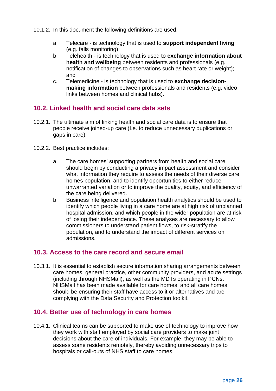- 10.1.2. In this document the following definitions are used:
	- a. Telecare is technology that is used to **support independent living**  (e.g. falls monitoring);
	- b. Telehealth is technology that is used to **exchange information about health and wellbeing** between residents and professionals (e.g. notification of changes to observations such as heart rate or weight); and
	- c. Telemedicine is technology that is used to **exchange decisionmaking information** between professionals and residents (e.g. video links between homes and clinical hubs).

# <span id="page-26-0"></span>**10.2. Linked health and social care data sets**

- 10.2.1. The ultimate aim of linking health and social care data is to ensure that people receive joined-up care (I.e. to reduce unnecessary duplications or gaps in care).
- 10.2.2. Best practice includes:
	- a. The care homes' supporting partners from health and social care should begin by conducting a privacy impact assessment and consider what information they require to assess the needs of their diverse care homes population, and to identify opportunities to either reduce unwarranted variation or to improve the quality, equity, and efficiency of the care being delivered.
	- b. Business intelligence and population health analytics should be used to identify which people living in a care home are at high risk of unplanned hospital admission, and which people in the wider population are at risk of losing their independence. These analyses are necessary to allow commissioners to understand patient flows, to risk-stratify the population, and to understand the impact of different services on admissions.

#### <span id="page-26-1"></span>**10.3. Access to the care record and secure email**

10.3.1. It is essential to establish secure information sharing arrangements between care homes, general practice, other community providers, and acute settings (including through NHSMail), as well as the MDTs operating in PCNs. NHSMail has been made available for care homes, and all care homes should be ensuring their staff have access to it or alternatives and are complying with the Data Security and Protection toolkit.

#### <span id="page-26-2"></span>**10.4. Better use of technology in care homes**

10.4.1. Clinical teams can be supported to make use of technology to improve how they work with staff employed by social care providers to make joint decisions about the care of individuals. For example, they may be able to assess some residents remotely, thereby avoiding unnecessary trips to hospitals or call-outs of NHS staff to care homes.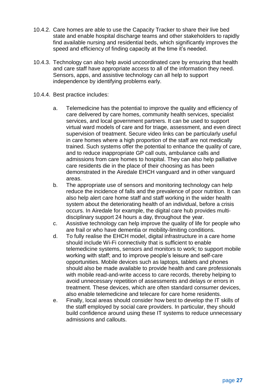- 10.4.2. Care homes are able to use the Capacity Tracker to share their live bed state and enable hospital discharge teams and other stakeholders to rapidly find available nursing and residential beds, which significantly improves the speed and efficiency of finding capacity at the time it's needed.
- 10.4.3. Technology can also help avoid uncoordinated care by ensuring that health and care staff have appropriate access to all of the information they need. Sensors, apps, and assistive technology can all help to support independence by identifying problems early.
- 10.4.4. Best practice includes:
	- a. Telemedicine has the potential to improve the quality and efficiency of care delivered by care homes, community health services, specialist services, and local government partners. It can be used to support virtual ward models of care and for triage, assessment, and even direct supervision of treatment. Secure video links can be particularly useful in care homes where a high proportion of the staff are not medically trained. Such systems offer the potential to enhance the quality of care, and to reduce inappropriate GP call outs, ambulance calls and admissions from care homes to hospital. They can also help palliative care residents die in the place of their choosing as has been demonstrated in the Airedale EHCH vanguard and in other vanguard areas.
	- b. The appropriate use of sensors and monitoring technology can help reduce the incidence of falls and the prevalence of poor nutrition. It can also help alert care home staff and staff working in the wider health system about the deteriorating health of an individual, before a crisis occurs. In Airedale for example, the digital care hub provides multidisciplinary support 24 hours a day, throughout the year.
	- c. Assistive technology can help improve the quality of life for people who are frail or who have dementia or mobility-limiting conditions.
	- d. To fully realise the EHCH model, digital infrastructure in a care home should include Wi-Fi connectivity that is sufficient to enable telemedicine systems, sensors and monitors to work; to support mobile working with staff; and to improve people's leisure and self-care opportunities. Mobile devices such as laptops, tablets and phones should also be made available to provide health and care professionals with mobile read-and-write access to care records, thereby helping to avoid unnecessary repetition of assessments and delays or errors in treatment. These devices, which are often standard consumer devices, also enable telemedicine and telecare for care home residents.
	- e. Finally, local areas should consider how best to develop the IT skills of the staff employed by social care providers. In particular, they should build confidence around using these IT systems to reduce unnecessary admissions and callouts.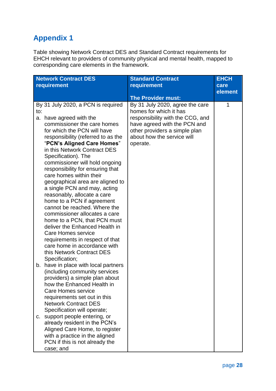# <span id="page-28-0"></span>**Appendix 1**

Table showing Network Contract DES and Standard Contract requirements for EHCH relevant to providers of community physical and mental health, mapped to corresponding care elements in the framework.

| <b>Network Contract DES</b>                                                                                                                                                                                                                                                                                                                                                                                                                                                                                                                                                                                                                                                                                                                                                          | <b>Standard Contract</b>                                                                                                                                                                                 | <b>EHCH</b> |
|--------------------------------------------------------------------------------------------------------------------------------------------------------------------------------------------------------------------------------------------------------------------------------------------------------------------------------------------------------------------------------------------------------------------------------------------------------------------------------------------------------------------------------------------------------------------------------------------------------------------------------------------------------------------------------------------------------------------------------------------------------------------------------------|----------------------------------------------------------------------------------------------------------------------------------------------------------------------------------------------------------|-------------|
| requirement                                                                                                                                                                                                                                                                                                                                                                                                                                                                                                                                                                                                                                                                                                                                                                          | <b>requirement</b>                                                                                                                                                                                       | care        |
|                                                                                                                                                                                                                                                                                                                                                                                                                                                                                                                                                                                                                                                                                                                                                                                      | <b>The Provider must:</b>                                                                                                                                                                                | element     |
| By 31 July 2020, a PCN is required<br>to:<br>have agreed with the<br>a.<br>commissioner the care homes<br>for which the PCN will have<br>responsibility (referred to as the<br>"PCN's Aligned Care Homes"<br>in this Network Contract DES<br>Specification). The<br>commissioner will hold ongoing<br>responsibility for ensuring that<br>care homes within their<br>geographical area are aligned to<br>a single PCN and may, acting<br>reasonably, allocate a care<br>home to a PCN if agreement<br>cannot be reached. Where the<br>commissioner allocates a care<br>home to a PCN, that PCN must<br>deliver the Enhanced Health in<br><b>Care Homes service</b><br>requirements in respect of that<br>care home in accordance with<br>this Network Contract DES<br>Specification; | By 31 July 2020, agree the care<br>homes for which it has<br>responsibility with the CCG, and<br>have agreed with the PCN and<br>other providers a simple plan<br>about how the service will<br>operate. | 1           |
| b. have in place with local partners<br>(including community services<br>providers) a simple plan about<br>how the Enhanced Health in<br>Care Homes service<br>requirements set out in this<br><b>Network Contract DES</b><br>Specification will operate;<br>c. support people entering, or<br>already resident in the PCN's<br>Aligned Care Home, to register<br>with a practice in the aligned<br>PCN if this is not already the<br>case; and                                                                                                                                                                                                                                                                                                                                      |                                                                                                                                                                                                          |             |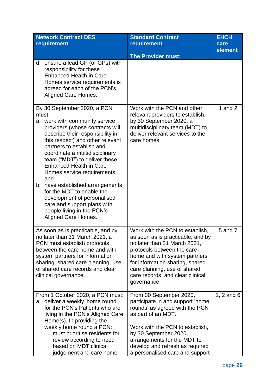| <b>Network Contract DES</b><br>requirement                                                                                                                                                                                                                                                                                                                                                                                                                                                                                                    | <b>Standard Contract</b><br>requirement                                                                                                                                                                                                                                                   | <b>EHCH</b><br>care |
|-----------------------------------------------------------------------------------------------------------------------------------------------------------------------------------------------------------------------------------------------------------------------------------------------------------------------------------------------------------------------------------------------------------------------------------------------------------------------------------------------------------------------------------------------|-------------------------------------------------------------------------------------------------------------------------------------------------------------------------------------------------------------------------------------------------------------------------------------------|---------------------|
|                                                                                                                                                                                                                                                                                                                                                                                                                                                                                                                                               | <b>The Provider must:</b>                                                                                                                                                                                                                                                                 | element             |
| ensure a lead GP (or GPs) with<br>d.<br>responsibility for these<br><b>Enhanced Health in Care</b><br>Homes service requirements is<br>agreed for each of the PCN's<br>Aligned Care Homes.                                                                                                                                                                                                                                                                                                                                                    |                                                                                                                                                                                                                                                                                           |                     |
| By 30 September 2020, a PCN<br>must:<br>a. work with community service<br>providers (whose contracts will<br>describe their responsibility in<br>this respect) and other relevant<br>partners to establish and<br>coordinate a multidisciplinary<br>team ("MDT") to deliver these<br><b>Enhanced Health in Care</b><br>Homes service requirements;<br>and<br>b. have established arrangements<br>for the MDT to enable the<br>development of personalised<br>care and support plans with<br>people living in the PCN's<br>Aligned Care Homes. | Work with the PCN and other<br>relevant providers to establish,<br>by 30 September 2020, a<br>multidisciplinary team (MDT) to<br>deliver relevant services to the<br>care homes.                                                                                                          | 1 and $2$           |
| As soon as is practicable, and by<br>no later than 31 March 2021, a<br>PCN must establish protocols<br>between the care home and with<br>system partners for information<br>sharing, shared care planning, use<br>of shared care records and clear<br>clinical governance.                                                                                                                                                                                                                                                                    | Work with the PCN to establish,<br>as soon as is practicable, and by<br>no later than 31 March 2021,<br>protocols between the care<br>home and with system partners<br>for information sharing, shared<br>care planning, use of shared<br>care records, and clear clinical<br>governance. | 5 and 7             |
| From 1 October 2020, a PCN must:<br>a. deliver a weekly 'home round'<br>for the PCN's Patients who are<br>living in the PCN's Aligned Care<br>Home(s). In providing the<br>weekly home round a PCN:<br>i. must prioritise residents for<br>review according to need<br>based on MDT clinical<br>judgement and care home                                                                                                                                                                                                                       | From 30 September 2020,<br>participate in and support 'home<br>rounds' as agreed with the PCN<br>as part of an MDT.<br>Work with the PCN to establish,<br>by 30 September 2020,<br>arrangements for the MDT to<br>develop and refresh as required<br>a personalised care and support      | 1, 2 and 6          |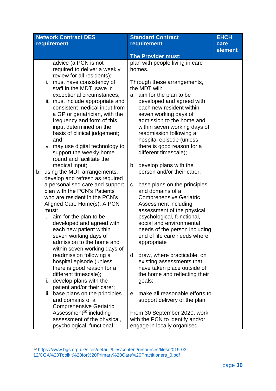| <b>Network Contract DES</b> |                                                               | <b>Standard Contract</b>                               | <b>EHCH</b> |
|-----------------------------|---------------------------------------------------------------|--------------------------------------------------------|-------------|
|                             | requirement                                                   | requirement                                            | care        |
|                             |                                                               |                                                        | element     |
|                             |                                                               | <b>The Provider must:</b>                              |             |
|                             | advice (a PCN is not                                          | plan with people living in care                        |             |
|                             | required to deliver a weekly                                  | homes.                                                 |             |
|                             | review for all residents);                                    |                                                        |             |
|                             | must have consistency of<br>ii.                               | Through these arrangements,                            |             |
|                             | staff in the MDT, save in                                     | the MDT will:                                          |             |
|                             | exceptional circumstances;                                    | a. aim for the plan to be                              |             |
|                             | iii. must include appropriate and                             | developed and agreed with                              |             |
|                             | consistent medical input from                                 | each new resident within                               |             |
|                             | a GP or geriatrician, with the                                | seven working days of                                  |             |
|                             | frequency and form of this                                    | admission to the home and                              |             |
|                             | input determined on the                                       | within seven working days of                           |             |
|                             | basis of clinical judgement;                                  | readmission following a                                |             |
|                             | and                                                           | hospital episode (unless                               |             |
|                             | iv. may use digital technology to                             | there is good reason for a                             |             |
|                             | support the weekly home                                       | different timescale);                                  |             |
|                             | round and facilitate the                                      |                                                        |             |
|                             | medical input;                                                | b. develop plans with the                              |             |
| b.                          | using the MDT arrangements,                                   | person and/or their carer;                             |             |
|                             | develop and refresh as required                               |                                                        |             |
|                             | a personalised care and support                               | base plans on the principles<br>C.<br>and domains of a |             |
|                             | plan with the PCN's Patients<br>who are resident in the PCN's | <b>Comprehensive Geriatric</b>                         |             |
|                             | Aligned Care Home(s). A PCN                                   | Assessment including                                   |             |
|                             | must:                                                         | assessment of the physical,                            |             |
|                             | aim for the plan to be<br>i.                                  | psychological, functional,                             |             |
|                             | developed and agreed with                                     | social and environmental                               |             |
|                             | each new patient within                                       | needs of the person including                          |             |
|                             | seven working days of                                         | end of life care needs where                           |             |
|                             | admission to the home and                                     | appropriate                                            |             |
|                             | within seven working days of                                  |                                                        |             |
|                             | readmission following a                                       | d. draw, where practicable, on                         |             |
|                             | hospital episode (unless                                      | existing assessments that                              |             |
|                             | there is good reason for a                                    | have taken place outside of                            |             |
|                             | different timescale);                                         | the home and reflecting their                          |             |
|                             | develop plans with the<br>ii.                                 | goals;                                                 |             |
|                             | patient and/or their carer;                                   |                                                        |             |
|                             | iii. base plans on the principles                             | make all reasonable efforts to<br>е.                   |             |
|                             | and domains of a                                              | support delivery of the plan                           |             |
|                             | <b>Comprehensive Geriatric</b>                                |                                                        |             |
|                             | Assessment <sup>10</sup> including                            | From 30 September 2020, work                           |             |
|                             | assessment of the physical,                                   | with the PCN to identify and/or                        |             |
|                             | psychological, functional,                                    | engage in locally organised                            |             |

<sup>10</sup> [https://www.bgs.org.uk/sites/default/files/content/resources/files/2019-03-](https://www.bgs.org.uk/sites/default/files/content/resources/files/2019-03-12/CGA%20Toolkit%20for%20Primary%20Care%20Practitioners_0.pdf) [12/CGA%20Toolkit%20for%20Primary%20Care%20Practitioners\\_0.pdf](https://www.bgs.org.uk/sites/default/files/content/resources/files/2019-03-12/CGA%20Toolkit%20for%20Primary%20Care%20Practitioners_0.pdf)

 $\overline{\phantom{0}}$ 

1